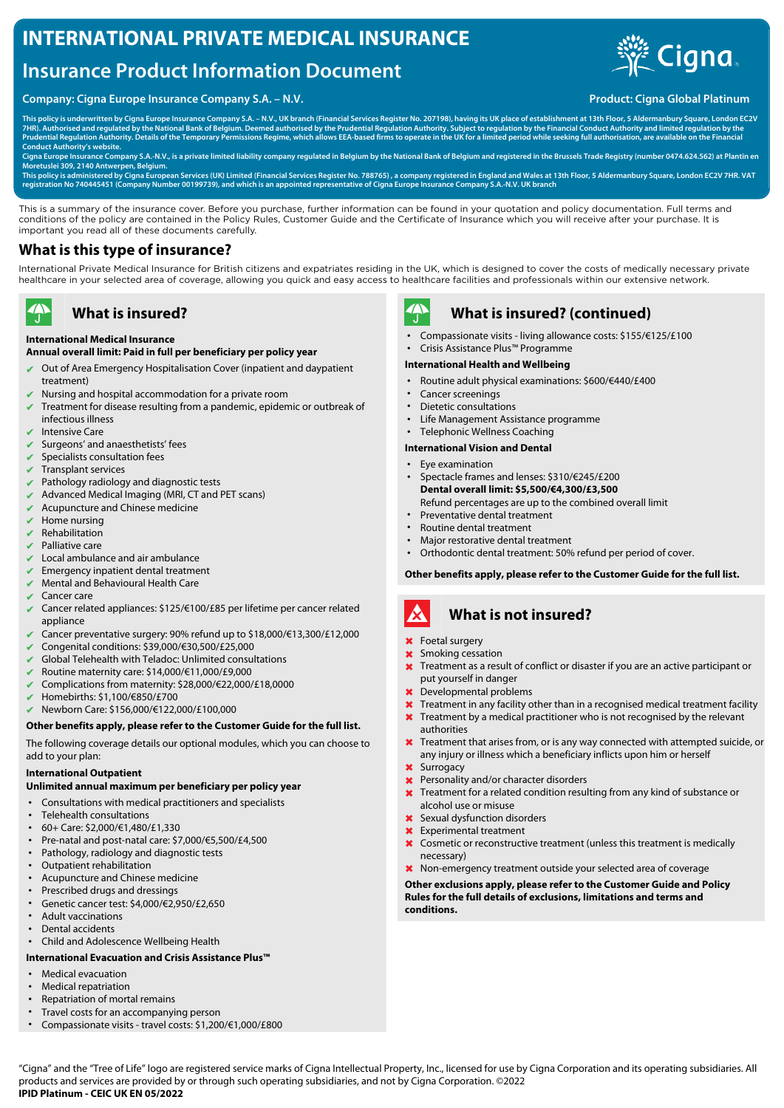## **INTERNATIONAL PRIVATE MEDICAL INSURANCE**

# **Insurance Product Information Document**

## **Company: Cigna Europe Insurance Company S.A. – N.V. Product: Cigna Global Platinum**



**This policy is underwritten by Cigna Europe Insurance Company S.A. – N.V., UK branch (Financial Services Register No. 207198), having its UK place of establishment at 13th Floor, 5 Aldermanbury Square, London EC2V** 7HR). Authorised and regulated by the National Bank of Belgium. Deemed authorised by the Prudential Regulation Authority. Subject to regulation by the Financial Conduct Authority and limited regulation by the<br>Prudential Re

**Conduct Authority's website. Cigna Europe Insurance Company S.A.-N.V., is a private limited liability company regulated in Belgium by the National Bank of Belgium and registered in the Brussels Trade Registry (number 0474.624.562) at Plantin en Moretuslei 309, 2140 Antwerpen, Belgium.**

This policy is administered by Cigna European Services (UK) Limited (Financial Services Register No. 788765) , a company registered in England and Wales at 13th Floor, 5 Aldermanbury Square, London EC2V 7HR. VAT<br>registrati

This is a summary of the insurance cover. Before you purchase, further information can be found in your quotation and policy documentation. Full terms and conditions of the policy are contained in the Policy Rules, Customer Guide and the Certificate of Insurance which you will receive after your purchase. It is important you read all of these documents carefully.

## **What is this type of insurance?**

International Private Medical Insurance for British citizens and expatriates residing in the UK, which is designed to cover the costs of medically necessary private healthcare in your selected area of coverage, allowing you quick and easy access to healthcare facilities and professionals within our extensive network.

## **What is insured?**

### **International Medical Insurance**

## **Annual overall limit: Paid in full per beneficiary per policy year**

- Out of Area Emergency Hospitalisation Cover (inpatient and daypatient treatment)
- ✔ Nursing and hospital accommodation for a private room
- Treatment for disease resulting from a pandemic, epidemic or outbreak of infectious illness
- ✔ Intensive Care

 $\blacktriangle$ 

- Surgeons' and anaesthetists' fees
- Specialists consultation fees
- ✔ Transplant services
- Pathology radiology and diagnostic tests
- Advanced Medical Imaging (MRI, CT and PET scans)
- $\vee$  Acupuncture and Chinese medicine
- Home nursing
- **Rehabilitation**
- Palliative care
- Local ambulance and air ambulance
- Emergency inpatient dental treatment
- **Mental and Behavioural Health Care**
- Cancer care
- Cancer related appliances: \$125/€100/£85 per lifetime per cancer related appliance
- ✔ Cancer preventative surgery: 90% refund up to \$18,000/€13,300/£12,000
- ✔ Congenital conditions: \$39,000/€30,500/£25,000
- Global Telehealth with Teladoc: Unlimited consultations
- ✔ Routine maternity care: \$14,000/€11,000/£9,000
- ✔ Complications from maternity: \$28,000/€22,000/£18,0000
- ✔ Homebirths: \$1,100/€850/£700
- ✔ Newborn Care: \$156,000/€122,000/£100,000

### **Other benefits apply, please refer to the Customer Guide for the full list.**

The following coverage details our optional modules, which you can choose to add to your plan:

### **International Outpatient**

### **Unlimited annual maximum per beneficiary per policy year**

- Consultations with medical practitioners and specialists
- Telehealth consultations
- 60+ Care: \$2,000/€1,480/£1,330
- Pre-natal and post-natal care: \$7,000/€5,500/£4,500
- Pathology, radiology and diagnostic tests
- Outpatient rehabilitation
- Acupuncture and Chinese medicine
- Prescribed drugs and dressings
- Genetic cancer test: \$4,000/€2,950/£2,650
- Adult vaccinations
- Dental accidents
- Child and Adolescence Wellbeing Health

### **International Evacuation and Crisis Assistance Plus™**

- Medical evacuation
- Medical repatriation
- Repatriation of mortal remains
- Travel costs for an accompanying person
- Compassionate visits travel costs: \$1,200/€1,000/£800



## **What is insured? (continued)**

- Compassionate visits living allowance costs: \$155/€125/£100
- Crisis Assistance Plus™ Programme
- **International Health and Wellbeing**
- Routine adult physical examinations: \$600/€440/£400
- Cancer screenings
- Dietetic consultations
- Life Management Assistance programme
- Telephonic Wellness Coaching

### **International Vision and Dental**

- Eye examination
- Spectacle frames and lenses: \$310/€245/£200 **Dental overall limit: \$5,500/€4,300/£3,500** Refund percentages are up to the combined overall limit
- Preventative dental treatment
- Routine dental treatment
- Major restorative dental treatment
- Orthodontic dental treatment: 50% refund per period of cover.

**Other benefits apply, please refer to the Customer Guide for the full list.**

### A **What is not insured?**

### ✖ Foetal surgery

- **x** Smoking cessation
- **X** Treatment as a result of conflict or disaster if you are an active participant or put yourself in danger
- ✖ Developmental problems
- **X** Treatment in any facility other than in a recognised medical treatment facility
- Treatment by a medical practitioner who is not recognised by the relevant authorities
- X Treatment that arises from, or is any way connected with attempted suicide, or any injury or illness which a beneficiary inflicts upon him or herself
- ✖ Surrogacy
- ✖ Personality and/or character disorders
- **X** Treatment for a related condition resulting from any kind of substance or alcohol use or misuse
- ✖ Sexual dysfunction disorders
- ✖ Experimental treatment
- ✖ Cosmetic or reconstructive treatment (unless this treatment is medically necessary)
- ✖ Non-emergency treatment outside your selected area of coverage

**Other exclusions apply, please refer to the Customer Guide and Policy Rules for the full details of exclusions, limitations and terms and conditions.**

"Cigna" and the "Tree of Life" logo are registered service marks of Cigna Intellectual Property, Inc., licensed for use by Cigna Corporation and its operating subsidiaries. All products and services are provided by or through such operating subsidiaries, and not by Cigna Corporation. ©2022 **IPID Platinum - CEIC UK EN 05/2022**